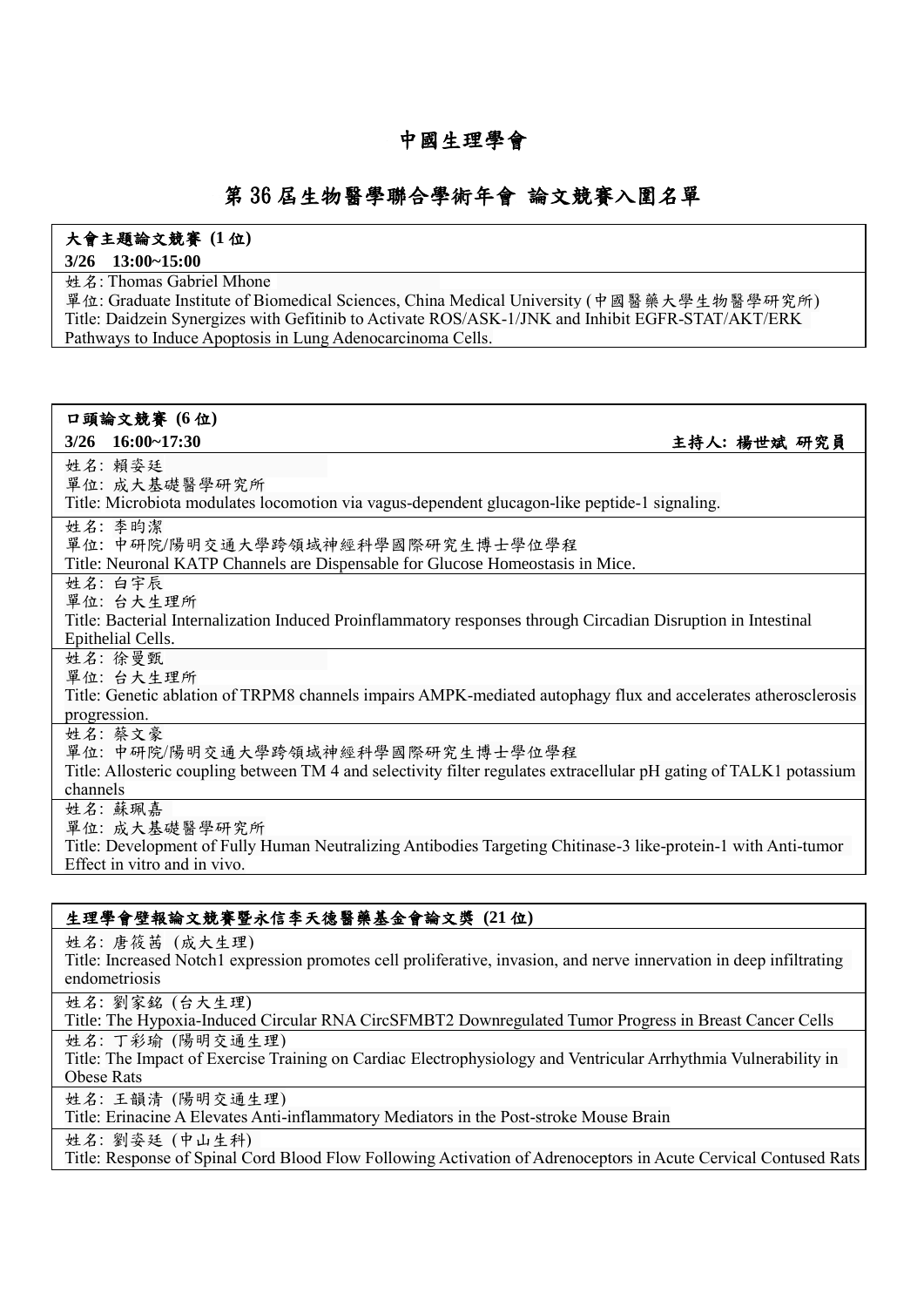# 中國生理學會

## 第 36 屆生物醫學聯合學術年會 論文競賽入圍名單

### 大會主題論文競賽 **(1** 位**)**

#### **3/26 13:00~15:00**

**姓名: Thomas Gabriel Mhone** 

單位: Graduate Institute of Biomedical Sciences, China Medical University (中國醫藥大學生物醫學研究所) Title: Daidzein Synergizes with Gefitinib to Activate ROS/ASK-1/JNK and Inhibit EGFR-STAT/AKT/ERK Pathways to Induce Apoptosis in Lung Adenocarcinoma Cells.

## 口頭論文競賽 **(6** 位**)**

**3/26 16:00~17:30** 主持人**:** 楊世斌 研究員

姓名: 賴姿廷

單位: 成大基礎醫學研究所

Title: Microbiota modulates locomotion via vagus-dependent glucagon-like peptide-1 signaling.

姓名: 李昀潔

單位: 中研院/陽明交通大學跨領域神經科學國際研究生博士學位學程

Title: Neuronal KATP Channels are Dispensable for Glucose Homeostasis in Mice.

姓名: 白宇辰

單位: 台大生理所

Title: Bacterial Internalization Induced Proinflammatory responses through Circadian Disruption in Intestinal Epithelial Cells.

姓名: 徐曼甄

單位: 台大生理所

Title: Genetic ablation of TRPM8 channels impairs AMPK-mediated autophagy flux and accelerates atherosclerosis progression.

姓名: 蔡文豪

單位: 中研院/陽明交通大學跨領域神經科學國際研究生博士學位學程

Title: Allosteric coupling between TM 4 and selectivity filter regulates extracellular pH gating of TALK1 potassium channels

姓名: 蘇珮嘉

單位: 成大基礎醫學研究所

Title: Development of Fully Human Neutralizing Antibodies Targeting Chitinase-3 like-protein-1 with Anti-tumor Effect in vitro and in vivo.

## 生理學會壁報論文競賽暨永信李天德醫藥基金會論文獎 **(21** 位**)**

姓名: 唐筱茜 (成大生理)

Title: Increased Notch1 expression promotes cell proliferative, invasion, and nerve innervation in deep infiltrating endometriosis

姓名: 劉家銘 (台大生理)

Title: The Hypoxia-Induced Circular RNA CircSFMBT2 Downregulated Tumor Progress in Breast Cancer Cells 姓名: 丁彩瑜 (陽明交通生理)

Title: The Impact of Exercise Training on Cardiac Electrophysiology and Ventricular Arrhythmia Vulnerability in Obese Rats

姓名: 王韻清 (陽明交通生理)

Title: Erinacine A Elevates Anti-inflammatory Mediators in the Post-stroke Mouse Brain

姓名: 劉姿廷 (中山生科)

Title: Response of Spinal Cord Blood Flow Following Activation of Adrenoceptors in Acute Cervical Contused Rats